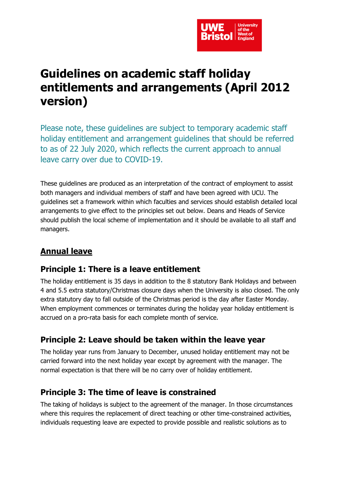

# **Guidelines on academic staff holiday entitlements and arrangements (April 2012 version)**

Please note, these guidelines are subject to temporary academic staff holiday entitlement and arrangement guidelines that should be referred to as of 22 July 2020, which reflects the current approach to annual leave carry over due to COVID-19.

These guidelines are produced as an interpretation of the contract of employment to assist both managers and individual members of staff and have been agreed with UCU. The guidelines set a framework within which faculties and services should establish detailed local arrangements to give effect to the principles set out below. Deans and Heads of Service should publish the local scheme of implementation and it should be available to all staff and managers.

## **Annual leave**

### **Principle 1: There is a leave entitlement**

The holiday entitlement is 35 days in addition to the 8 statutory Bank Holidays and between 4 and 5.5 extra statutory/Christmas closure days when the University is also closed. The only extra statutory day to fall outside of the Christmas period is the day after Easter Monday. When employment commences or terminates during the holiday year holiday entitlement is accrued on a pro-rata basis for each complete month of service.

## **Principle 2: Leave should be taken within the leave year**

The holiday year runs from January to December, unused holiday entitlement may not be carried forward into the next holiday year except by agreement with the manager. The normal expectation is that there will be no carry over of holiday entitlement.

### **Principle 3: The time of leave is constrained**

The taking of holidays is subject to the agreement of the manager. In those circumstances where this requires the replacement of direct teaching or other time-constrained activities, individuals requesting leave are expected to provide possible and realistic solutions as to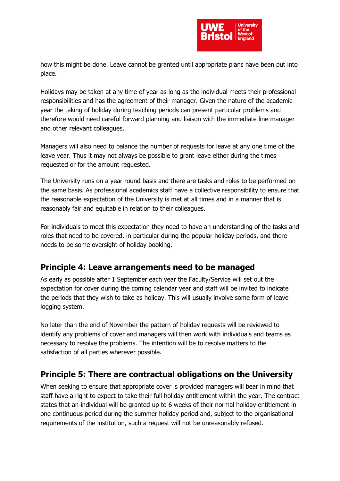

how this might be done. Leave cannot be granted until appropriate plans have been put into place.

Holidays may be taken at any time of year as long as the individual meets their professional responsibilities and has the agreement of their manager. Given the nature of the academic year the taking of holiday during teaching periods can present particular problems and therefore would need careful forward planning and liaison with the immediate line manager and other relevant colleagues.

Managers will also need to balance the number of requests for leave at any one time of the leave year. Thus it may not always be possible to grant leave either during the times requested or for the amount requested.

The University runs on a year round basis and there are tasks and roles to be performed on the same basis. As professional academics staff have a collective responsibility to ensure that the reasonable expectation of the University is met at all times and in a manner that is reasonably fair and equitable in relation to their colleagues.

For individuals to meet this expectation they need to have an understanding of the tasks and roles that need to be covered, in particular during the popular holiday periods, and there needs to be some oversight of holiday booking.

### **Principle 4: Leave arrangements need to be managed**

As early as possible after 1 September each year the Faculty/Service will set out the expectation for cover during the coming calendar year and staff will be invited to indicate the periods that they wish to take as holiday. This will usually involve some form of leave logging system.

No later than the end of November the pattern of holiday requests will be reviewed to identify any problems of cover and managers will then work with individuals and teams as necessary to resolve the problems. The intention will be to resolve matters to the satisfaction of all parties wherever possible.

### **Principle 5: There are contractual obligations on the University**

When seeking to ensure that appropriate cover is provided managers will bear in mind that staff have a right to expect to take their full holiday entitlement within the year. The contract states that an individual will be granted up to 6 weeks of their normal holiday entitlement in one continuous period during the summer holiday period and, subject to the organisational requirements of the institution, such a request will not be unreasonably refused.